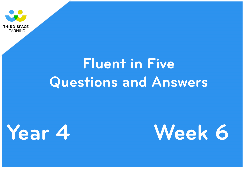

**LEARNING** 





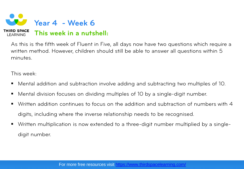

As this is the fifth week of Fluent in Five, all days now have two questions which require a written method. However, children should still be able to answer all questions within 5 minutes.

This week:

- Mental addition and subtraction involve adding and subtracting two multiples of 10.
- Mental division focuses on dividing multiples of 10 by a single-digit number.
- Written addition continues to focus on the addition and subtraction of numbers with 4 digits, including where the inverse relationship needs to be recognised.
- Written multiplication is now extended to a three-digit number multiplied by a singledigit number.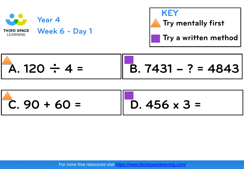

**Try mentally first Try a written method**

$$
\begin{array}{|c|c|c|c|c|c|c|c|c|}\n\hline\n\text{A. 120 ÷ 4 =} & \boxed{\text{B. 7431 - ? = 4843}}\n\end{array}
$$

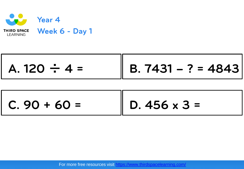

| $ $ A. 120 $\div$ 4 = | $\ $ B. 7431 – ? = 4843 |
|-----------------------|-------------------------|
|                       |                         |

| $C.90 + 60 =$ | $\parallel$ D. 456 x 3 = |
|---------------|--------------------------|
|---------------|--------------------------|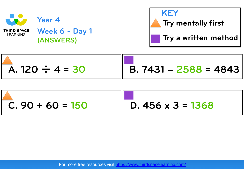

**Week 6 - Day 1 (ANSWERS)**



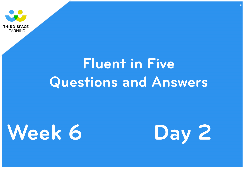



## **Fluent in Five Questions and Answers**



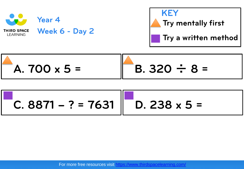

**Week 6 - Day 2** 





C. 8871 - ? = 7631 
$$
\begin{bmatrix} 1 & 0.238 \times 5 = 1 \end{bmatrix}
$$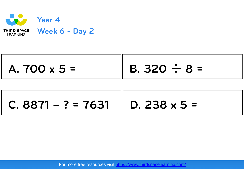

| $A.700 \times 5 =$ | $\parallel$ B. 320 $\div$ 8 = |
|--------------------|-------------------------------|
|                    |                               |

 $C. 8871 - ? = 7631$  || D. 238 x 5 =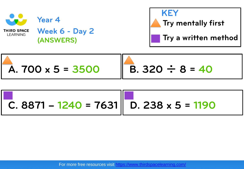

**Week 6 - Day 2 (ANSWERS)**

**Year 4** 





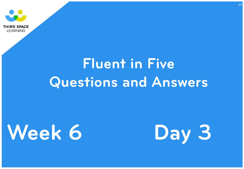



## **Fluent in Five Questions and Answers**



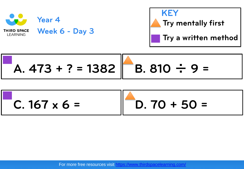



$$
A. 473 + ? = 1382 \quad B. 810 \div 9 =
$$

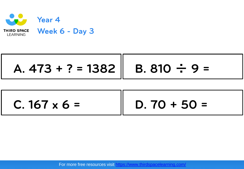

$$
A. 473 + ? = 1382 \parallel B. 810 \div 9 =
$$

| $C. 167 \times 6 =$ | $D.70 + 50 =$ |
|---------------------|---------------|
|---------------------|---------------|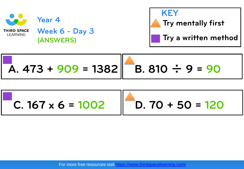

**Year 4** 

**Week 6 - Day 3 (ANSWERS)**



**A. 473 + 909 = 1382 B. 810** ÷ **9 = 90**

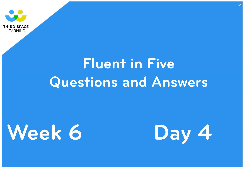



## **Fluent in Five Questions and Answers**



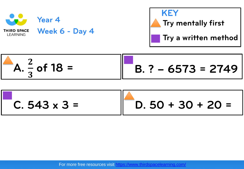





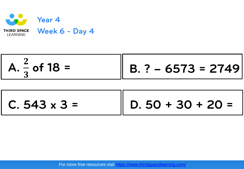

 $C. 543 \times 3 =$   $\parallel D. 50 + 30 + 20 =$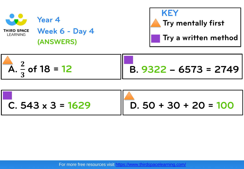

**Week 6 - Day 4 (ANSWERS)**





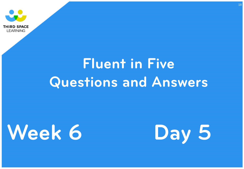



## **Fluent in Five Questions and Answers**



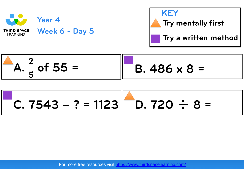

**KEY Try mentally first Try a written method**



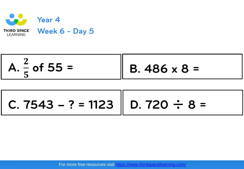

$$
A. \frac{2}{5} \text{ of } 55 = \boxed{B.486 \times 8 =}
$$

C. 7543 - ? = 1123 
$$
\boxed{D. 720 \div 8 =}
$$